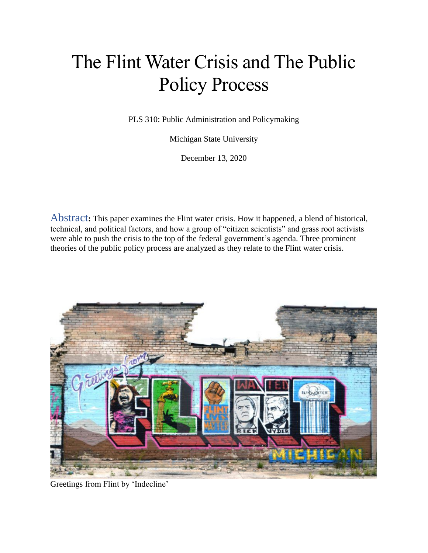# The Flint Water Crisis and The Public Policy Process

PLS 310: Public Administration and Policymaking

Michigan State University

December 13, 2020

Abstract**:** This paper examines the Flint water crisis. How it happened, a blend of historical, technical, and political factors, and how a group of "citizen scientists" and grass root activists were able to push the crisis to the top of the federal government's agenda. Three prominent theories of the public policy process are analyzed as they relate to the Flint water crisis.



Greetings from Flint by 'Indecline'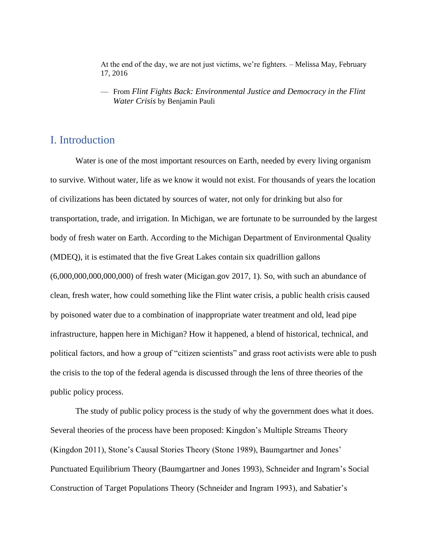At the end of the day, we are not just victims, we're fighters. – Melissa May, February 17, 2016

— From *Flint Fights Back: Environmental Justice and Democracy in the Flint Water Crisis* by Benjamin Pauli

#### I. Introduction

Water is one of the most important resources on Earth, needed by every living organism to survive. Without water, life as we know it would not exist. For thousands of years the location of civilizations has been dictated by sources of water, not only for drinking but also for transportation, trade, and irrigation. In Michigan, we are fortunate to be surrounded by the largest body of fresh water on Earth. According to the Michigan Department of Environmental Quality (MDEQ), it is estimated that the five Great Lakes contain six quadrillion gallons (6,000,000,000,000,000) of fresh water (Micigan.gov 2017, 1). So, with such an abundance of clean, fresh water, how could something like the Flint water crisis, a public health crisis caused by poisoned water due to a combination of inappropriate water treatment and old, lead pipe infrastructure, happen here in Michigan? How it happened, a blend of historical, technical, and political factors, and how a group of "citizen scientists" and grass root activists were able to push the crisis to the top of the federal agenda is discussed through the lens of three theories of the public policy process.

The study of public policy process is the study of why the government does what it does. Several theories of the process have been proposed: Kingdon's Multiple Streams Theory (Kingdon 2011), Stone's Causal Stories Theory (Stone 1989), Baumgartner and Jones' Punctuated Equilibrium Theory (Baumgartner and Jones 1993), Schneider and Ingram's Social Construction of Target Populations Theory (Schneider and Ingram 1993), and Sabatier's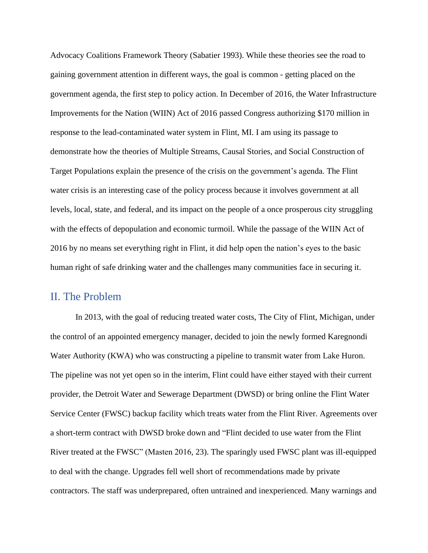Advocacy Coalitions Framework Theory (Sabatier 1993). While these theories see the road to gaining government attention in different ways, the goal is common - getting placed on the government agenda, the first step to policy action. In December of 2016, the Water Infrastructure Improvements for the Nation (WIIN) Act of 2016 passed Congress authorizing \$170 million in response to the lead-contaminated water system in Flint, MI. I am using its passage to demonstrate how the theories of Multiple Streams, Causal Stories, and Social Construction of Target Populations explain the presence of the crisis on the government's agenda. The Flint water crisis is an interesting case of the policy process because it involves government at all levels, local, state, and federal, and its impact on the people of a once prosperous city struggling with the effects of depopulation and economic turmoil. While the passage of the WIIN Act of 2016 by no means set everything right in Flint, it did help open the nation's eyes to the basic human right of safe drinking water and the challenges many communities face in securing it.

#### II. The Problem

In 2013, with the goal of reducing treated water costs, The City of Flint, Michigan, under the control of an appointed emergency manager, decided to join the newly formed Karegnondi Water Authority (KWA) who was constructing a pipeline to transmit water from Lake Huron. The pipeline was not yet open so in the interim, Flint could have either stayed with their current provider, the Detroit Water and Sewerage Department (DWSD) or bring online the Flint Water Service Center (FWSC) backup facility which treats water from the Flint River. Agreements over a short-term contract with DWSD broke down and "Flint decided to use water from the Flint River treated at the FWSC" (Masten 2016, 23). The sparingly used FWSC plant was ill-equipped to deal with the change. Upgrades fell well short of recommendations made by private contractors. The staff was underprepared, often untrained and inexperienced. Many warnings and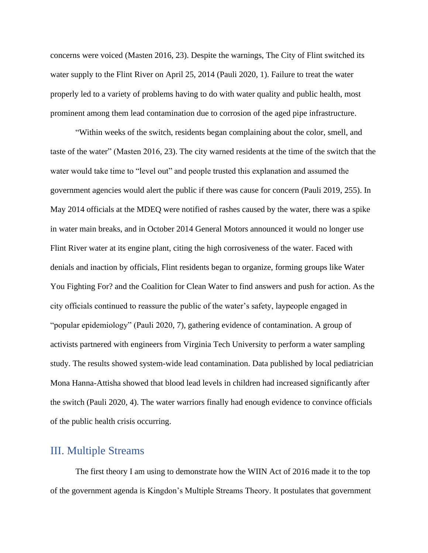concerns were voiced (Masten 2016, 23). Despite the warnings, The City of Flint switched its water supply to the Flint River on April 25, 2014 (Pauli 2020, 1). Failure to treat the water properly led to a variety of problems having to do with water quality and public health, most prominent among them lead contamination due to corrosion of the aged pipe infrastructure.

"Within weeks of the switch, residents began complaining about the color, smell, and taste of the water" (Masten 2016, 23). The city warned residents at the time of the switch that the water would take time to "level out" and people trusted this explanation and assumed the government agencies would alert the public if there was cause for concern (Pauli 2019, 255). In May 2014 officials at the MDEQ were notified of rashes caused by the water, there was a spike in water main breaks, and in October 2014 General Motors announced it would no longer use Flint River water at its engine plant, citing the high corrosiveness of the water. Faced with denials and inaction by officials, Flint residents began to organize, forming groups like Water You Fighting For? and the Coalition for Clean Water to find answers and push for action. As the city officials continued to reassure the public of the water's safety, laypeople engaged in "popular epidemiology" (Pauli 2020, 7), gathering evidence of contamination. A group of activists partnered with engineers from Virginia Tech University to perform a water sampling study. The results showed system-wide lead contamination. Data published by local pediatrician Mona Hanna-Attisha showed that blood lead levels in children had increased significantly after the switch (Pauli 2020, 4). The water warriors finally had enough evidence to convince officials of the public health crisis occurring.

### III. Multiple Streams

The first theory I am using to demonstrate how the WIIN Act of 2016 made it to the top of the government agenda is Kingdon's Multiple Streams Theory. It postulates that government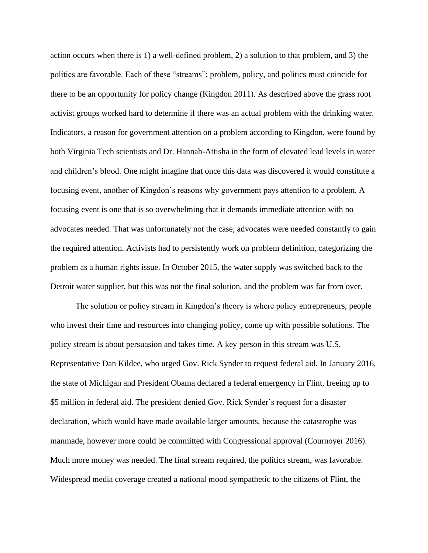action occurs when there is 1) a well-defined problem, 2) a solution to that problem, and 3) the politics are favorable. Each of these "streams"; problem, policy, and politics must coincide for there to be an opportunity for policy change (Kingdon 2011). As described above the grass root activist groups worked hard to determine if there was an actual problem with the drinking water. Indicators, a reason for government attention on a problem according to Kingdon, were found by both Virginia Tech scientists and Dr. Hannah-Attisha in the form of elevated lead levels in water and children's blood. One might imagine that once this data was discovered it would constitute a focusing event, another of Kingdon's reasons why government pays attention to a problem. A focusing event is one that is so overwhelming that it demands immediate attention with no advocates needed. That was unfortunately not the case, advocates were needed constantly to gain the required attention. Activists had to persistently work on problem definition, categorizing the problem as a human rights issue. In October 2015, the water supply was switched back to the Detroit water supplier, but this was not the final solution, and the problem was far from over.

The solution or policy stream in Kingdon's theory is where policy entrepreneurs, people who invest their time and resources into changing policy, come up with possible solutions. The policy stream is about persuasion and takes time. A key person in this stream was U.S. Representative Dan Kildee, who urged Gov. Rick Synder to request federal aid. In January 2016, the state of Michigan and President Obama declared a federal emergency in Flint, freeing up to \$5 million in federal aid. The president denied Gov. Rick Synder's request for a disaster declaration, which would have made available larger amounts, because the catastrophe was manmade, however more could be committed with Congressional approval (Cournoyer 2016). Much more money was needed. The final stream required, the politics stream, was favorable. Widespread media coverage created a national mood sympathetic to the citizens of Flint, the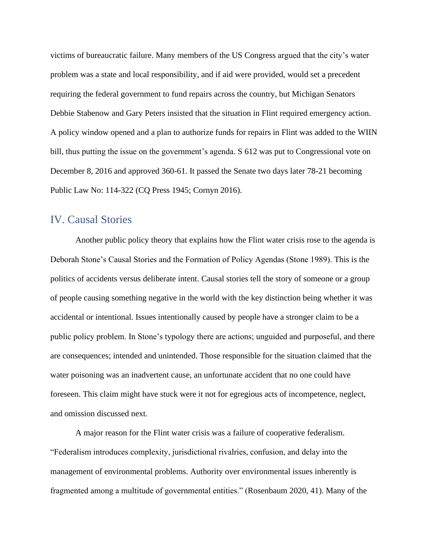victims of bureaucratic failure. Many members of the US Congress argued that the city's water problem was a state and local responsibility, and if aid were provided, would set a precedent requiring the federal government to fund repairs across the country, but Michigan Senators Debbie Stabenow and Gary Peters insisted that the situation in Flint required emergency action. A policy window opened and a plan to authorize funds for repairs in Flint was added to the WIIN bill, thus putting the issue on the government's agenda. S 612 was put to Congressional vote on December 8, 2016 and approved 360-61. It passed the Senate two days later 78-21 becoming Public Law No: 114-322 (CQ Press 1945; Cornyn 2016).

#### IV. Causal Stories

Another public policy theory that explains how the Flint water crisis rose to the agenda is Deborah Stone's Causal Stories and the Formation of Policy Agendas (Stone 1989). This is the politics of accidents versus deliberate intent. Causal stories tell the story of someone or a group of people causing something negative in the world with the key distinction being whether it was accidental or intentional. Issues intentionally caused by people have a stronger claim to be a public policy problem. In Stone's typology there are actions; unguided and purposeful, and there are consequences; intended and unintended. Those responsible for the situation claimed that the water poisoning was an inadvertent cause, an unfortunate accident that no one could have foreseen. This claim might have stuck were it not for egregious acts of incompetence, neglect, and omission discussed next.

A major reason for the Flint water crisis was a failure of cooperative federalism. "Federalism introduces complexity, jurisdictional rivalries, confusion, and delay into the management of environmental problems. Authority over environmental issues inherently is fragmented among a multitude of governmental entities." (Rosenbaum 2020, 41). Many of the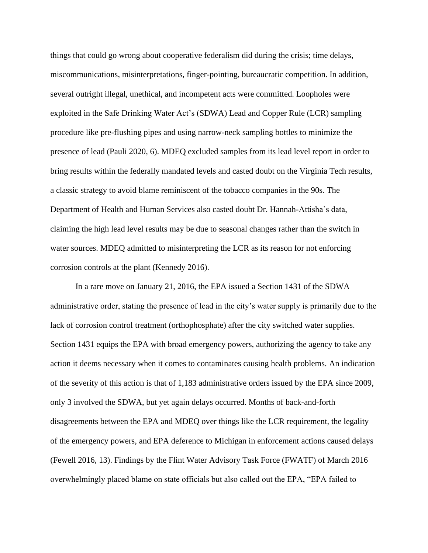things that could go wrong about cooperative federalism did during the crisis; time delays, miscommunications, misinterpretations, finger-pointing, bureaucratic competition. In addition, several outright illegal, unethical, and incompetent acts were committed. Loopholes were exploited in the Safe Drinking Water Act's (SDWA) Lead and Copper Rule (LCR) sampling procedure like pre-flushing pipes and using narrow-neck sampling bottles to minimize the presence of lead (Pauli 2020, 6). MDEQ excluded samples from its lead level report in order to bring results within the federally mandated levels and casted doubt on the Virginia Tech results, a classic strategy to avoid blame reminiscent of the tobacco companies in the 90s. The Department of Health and Human Services also casted doubt Dr. Hannah-Attisha's data, claiming the high lead level results may be due to seasonal changes rather than the switch in water sources. MDEQ admitted to misinterpreting the LCR as its reason for not enforcing corrosion controls at the plant (Kennedy 2016).

In a rare move on January 21, 2016, the EPA issued a Section 1431 of the SDWA administrative order, stating the presence of lead in the city's water supply is primarily due to the lack of corrosion control treatment (orthophosphate) after the city switched water supplies. Section 1431 equips the EPA with broad emergency powers, authorizing the agency to take any action it deems necessary when it comes to contaminates causing health problems. An indication of the severity of this action is that of 1,183 administrative orders issued by the EPA since 2009, only 3 involved the SDWA, but yet again delays occurred. Months of back-and-forth disagreements between the EPA and MDEQ over things like the LCR requirement, the legality of the emergency powers, and EPA deference to Michigan in enforcement actions caused delays (Fewell 2016, 13). Findings by the Flint Water Advisory Task Force (FWATF) of March 2016 overwhelmingly placed blame on state officials but also called out the EPA, "EPA failed to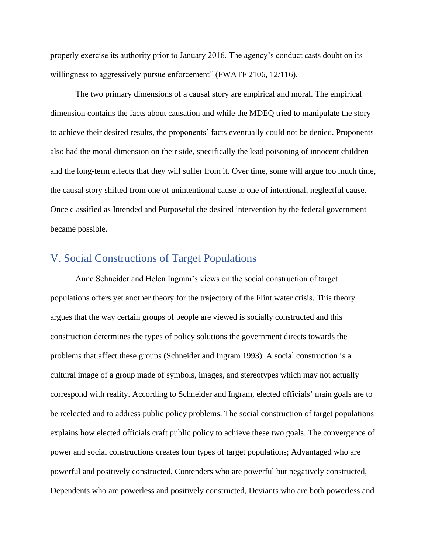properly exercise its authority prior to January 2016. The agency's conduct casts doubt on its willingness to aggressively pursue enforcement" (FWATF 2106, 12/116).

The two primary dimensions of a causal story are empirical and moral. The empirical dimension contains the facts about causation and while the MDEQ tried to manipulate the story to achieve their desired results, the proponents' facts eventually could not be denied. Proponents also had the moral dimension on their side, specifically the lead poisoning of innocent children and the long-term effects that they will suffer from it. Over time, some will argue too much time, the causal story shifted from one of unintentional cause to one of intentional, neglectful cause. Once classified as Intended and Purposeful the desired intervention by the federal government became possible.

## V. Social Constructions of Target Populations

Anne Schneider and Helen Ingram's views on the social construction of target populations offers yet another theory for the trajectory of the Flint water crisis. This theory argues that the way certain groups of people are viewed is socially constructed and this construction determines the types of policy solutions the government directs towards the problems that affect these groups (Schneider and Ingram 1993). A social construction is a cultural image of a group made of symbols, images, and stereotypes which may not actually correspond with reality. According to Schneider and Ingram, elected officials' main goals are to be reelected and to address public policy problems. The social construction of target populations explains how elected officials craft public policy to achieve these two goals. The convergence of power and social constructions creates four types of target populations; Advantaged who are powerful and positively constructed, Contenders who are powerful but negatively constructed, Dependents who are powerless and positively constructed, Deviants who are both powerless and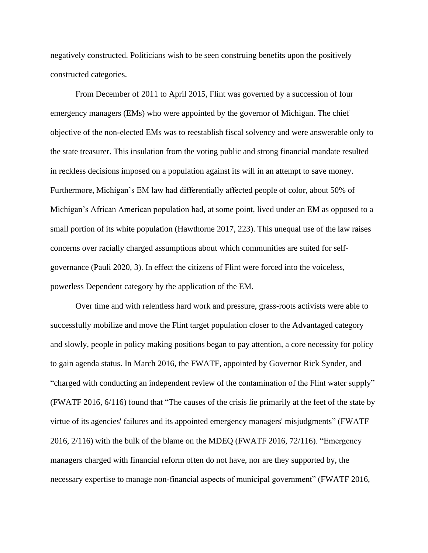negatively constructed. Politicians wish to be seen construing benefits upon the positively constructed categories.

From December of 2011 to April 2015, Flint was governed by a succession of four emergency managers (EMs) who were appointed by the governor of Michigan. The chief objective of the non-elected EMs was to reestablish fiscal solvency and were answerable only to the state treasurer. This insulation from the voting public and strong financial mandate resulted in reckless decisions imposed on a population against its will in an attempt to save money. Furthermore, Michigan's EM law had differentially affected people of color, about 50% of Michigan's African American population had, at some point, lived under an EM as opposed to a small portion of its white population (Hawthorne 2017, 223). This unequal use of the law raises concerns over racially charged assumptions about which communities are suited for selfgovernance (Pauli 2020, 3). In effect the citizens of Flint were forced into the voiceless, powerless Dependent category by the application of the EM.

Over time and with relentless hard work and pressure, grass-roots activists were able to successfully mobilize and move the Flint target population closer to the Advantaged category and slowly, people in policy making positions began to pay attention, a core necessity for policy to gain agenda status. In March 2016, the FWATF, appointed by Governor Rick Synder, and "charged with conducting an independent review of the contamination of the Flint water supply" (FWATF 2016, 6/116) found that "The causes of the crisis lie primarily at the feet of the state by virtue of its agencies' failures and its appointed emergency managers' misjudgments" (FWATF 2016, 2/116) with the bulk of the blame on the MDEQ (FWATF 2016, 72/116). "Emergency managers charged with financial reform often do not have, nor are they supported by, the necessary expertise to manage non-financial aspects of municipal government" (FWATF 2016,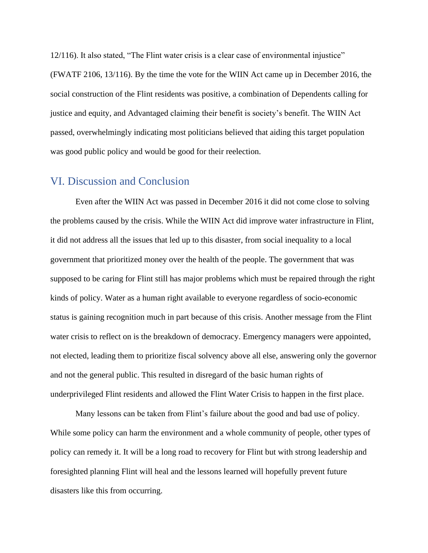12/116). It also stated, "The Flint water crisis is a clear case of environmental injustice" (FWATF 2106, 13/116). By the time the vote for the WIIN Act came up in December 2016, the social construction of the Flint residents was positive, a combination of Dependents calling for justice and equity, and Advantaged claiming their benefit is society's benefit. The WIIN Act passed, overwhelmingly indicating most politicians believed that aiding this target population was good public policy and would be good for their reelection.

#### VI. Discussion and Conclusion

Even after the WIIN Act was passed in December 2016 it did not come close to solving the problems caused by the crisis. While the WIIN Act did improve water infrastructure in Flint, it did not address all the issues that led up to this disaster, from social inequality to a local government that prioritized money over the health of the people. The government that was supposed to be caring for Flint still has major problems which must be repaired through the right kinds of policy. Water as a human right available to everyone regardless of socio-economic status is gaining recognition much in part because of this crisis. Another message from the Flint water crisis to reflect on is the breakdown of democracy. Emergency managers were appointed, not elected, leading them to prioritize fiscal solvency above all else, answering only the governor and not the general public. This resulted in disregard of the basic human rights of underprivileged Flint residents and allowed the Flint Water Crisis to happen in the first place.

Many lessons can be taken from Flint's failure about the good and bad use of policy. While some policy can harm the environment and a whole community of people, other types of policy can remedy it. It will be a long road to recovery for Flint but with strong leadership and foresighted planning Flint will heal and the lessons learned will hopefully prevent future disasters like this from occurring.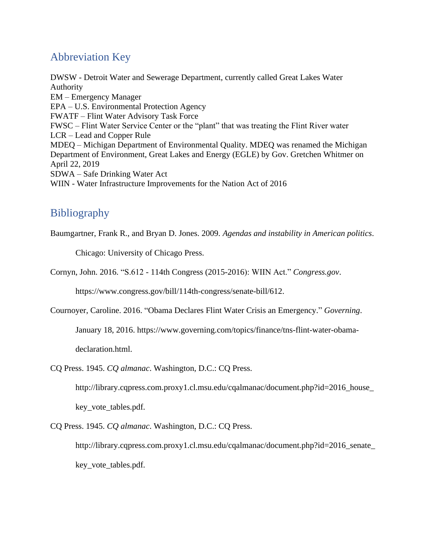## Abbreviation Key

DWSW - Detroit Water and Sewerage Department, currently called Great Lakes Water Authority EM – Emergency Manager EPA – U.S. Environmental Protection Agency FWATF – Flint Water Advisory Task Force FWSC – Flint Water Service Center or the "plant" that was treating the Flint River water LCR – Lead and Copper Rule MDEQ – Michigan Department of Environmental Quality. MDEQ was renamed the Michigan Department of Environment, Great Lakes and Energy (EGLE) by Gov. Gretchen Whitmer on April 22, 2019 SDWA – Safe Drinking Water Act WIIN - Water Infrastructure Improvements for the Nation Act of 2016

# Bibliography

Baumgartner, Frank R., and Bryan D. Jones. 2009. *Agendas and instability in American politics*.

Chicago: University of Chicago Press.

Cornyn, John. 2016. "S.612 - 114th Congress (2015-2016): WIIN Act." *Congress.gov*.

https://www.congress.gov/bill/114th-congress/senate-bill/612.

Cournoyer, Caroline. 2016. "Obama Declares Flint Water Crisis an Emergency." *Governing*.

January 18, 2016. https://www.governing.com/topics/finance/tns-flint-water-obama-

declaration.html.

CQ Press. 1945. *CQ almanac*. Washington, D.C.: CQ Press.

http://library.cqpress.com.proxy1.cl.msu.edu/cqalmanac/document.php?id=2016\_house\_

key\_vote\_tables.pdf.

CQ Press. 1945. *CQ almanac*. Washington, D.C.: CQ Press.

http://library.cqpress.com.proxy1.cl.msu.edu/cqalmanac/document.php?id=2016\_senate\_ key vote tables.pdf.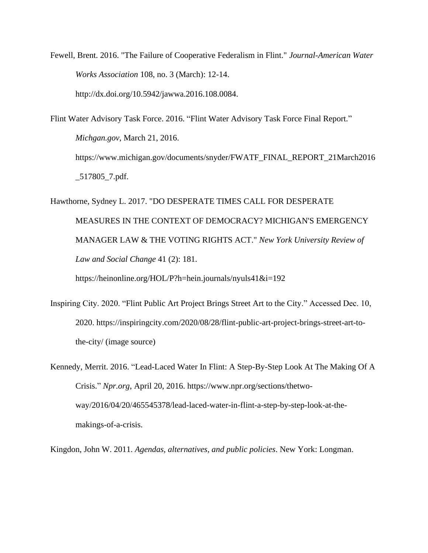Fewell, Brent. 2016. "The Failure of Cooperative Federalism in Flint." *Journal-American Water Works Association* 108, no. 3 (March): 12-14. http://dx.doi.org/10.5942/jawwa.2016.108.0084.

Flint Water Advisory Task Force. 2016. "Flint Water Advisory Task Force Final Report." *Michgan.gov*, March 21, 2016. https://www.michigan.gov/documents/snyder/FWATF\_FINAL\_REPORT\_21March2016 \_517805\_7.pdf.

Hawthorne, Sydney L. 2017. "DO DESPERATE TIMES CALL FOR DESPERATE MEASURES IN THE CONTEXT OF DEMOCRACY? MICHIGAN'S EMERGENCY MANAGER LAW & THE VOTING RIGHTS ACT." *New York University Review of Law and Social Change* 41 (2): 181.

https://heinonline.org/HOL/P?h=hein.journals/nyuls41&i=192

Inspiring City. 2020. "Flint Public Art Project Brings Street Art to the City." Accessed Dec. 10, 2020. https://inspiringcity.com/2020/08/28/flint-public-art-project-brings-street-art-tothe-city/ (image source)

Kennedy, Merrit. 2016. "Lead-Laced Water In Flint: A Step-By-Step Look At The Making Of A Crisis." *Npr.org*, April 20, 2016. https://www.npr.org/sections/thetwoway/2016/04/20/465545378/lead-laced-water-in-flint-a-step-by-step-look-at-themakings-of-a-crisis.

Kingdon, John W. 2011. *Agendas, alternatives, and public policies*. New York: Longman.